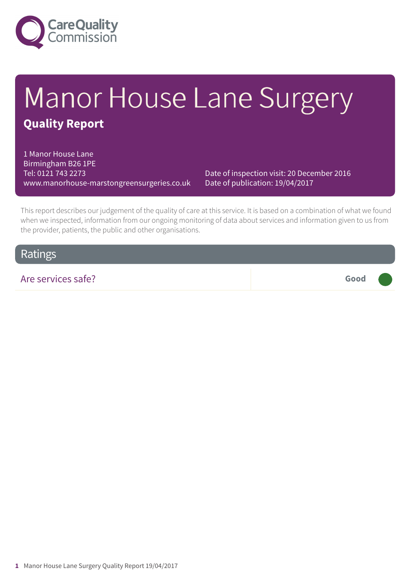

# Manor House Lane Surgery **Quality Report**

1 Manor House Lane Birmingham B26 1PE Tel: 0121 743 2273 www.manorhouse-marstongreensurgeries.co.uk

Date of inspection visit: 20 December 2016 Date of publication: 19/04/2017

This report describes our judgement of the quality of care at this service. It is based on a combination of what we found when we inspected, information from our ongoing monitoring of data about services and information given to us from the provider, patients, the public and other organisations.

### Ratings

Are services safe? **Good –––**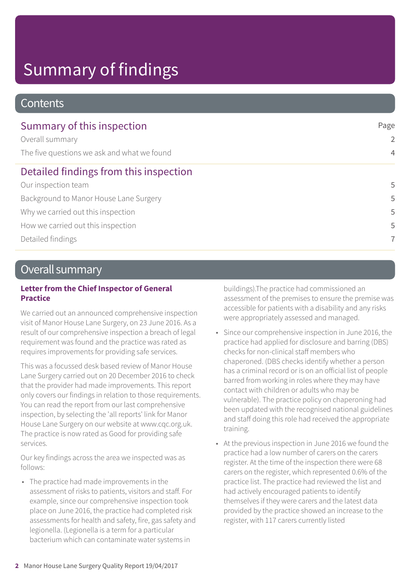# Summary of findings

#### **Contents**

| Summary of this inspection                  | Page<br>2<br>$\overline{4}$ |
|---------------------------------------------|-----------------------------|
| Overall summary                             |                             |
| The five questions we ask and what we found |                             |
| Detailed findings from this inspection      |                             |
| Our inspection team                         | 5                           |
| Background to Manor House Lane Surgery      | 5                           |
| Why we carried out this inspection          | 5                           |
| How we carried out this inspection          | 5                           |
| Detailed findings                           | 7                           |

### Overall summary

#### **Letter from the Chief Inspector of General Practice**

We carried out an announced comprehensive inspection visit of Manor House Lane Surgery, on 23 June 2016. As a result of our comprehensive inspection a breach of legal requirement was found and the practice was rated as requires improvements for providing safe services.

This was a focussed desk based review of Manor House Lane Surgery carried out on 20 December 2016 to check that the provider had made improvements. This report only covers our findings in relation to those requirements. You can read the report from our last comprehensive inspection, by selecting the 'all reports' link for Manor House Lane Surgery on our website at www.cqc.org.uk. The practice is now rated as Good for providing safe services.

Our key findings across the area we inspected was as follows:

• The practice had made improvements in the assessment of risks to patients, visitors and staff. For example, since our comprehensive inspection took place on June 2016, the practice had completed risk assessments for health and safety, fire, gas safety and legionella. (Legionella is a term for a particular bacterium which can contaminate water systems in

buildings).The practice had commissioned an assessment of the premises to ensure the premise was accessible for patients with a disability and any risks were appropriately assessed and managed.

- Since our comprehensive inspection in June 2016, the practice had applied for disclosure and barring (DBS) checks for non-clinical staff members who chaperoned. (DBS checks identify whether a person has a criminal record or is on an official list of people barred from working in roles where they may have contact with children or adults who may be vulnerable). The practice policy on chaperoning had been updated with the recognised national guidelines and staff doing this role had received the appropriate training.
- At the previous inspection in June 2016 we found the practice had a low number of carers on the carers register. At the time of the inspection there were 68 carers on the register, which represented 0.6% of the practice list. The practice had reviewed the list and had actively encouraged patients to identify themselves if they were carers and the latest data provided by the practice showed an increase to the register, with 117 carers currently listed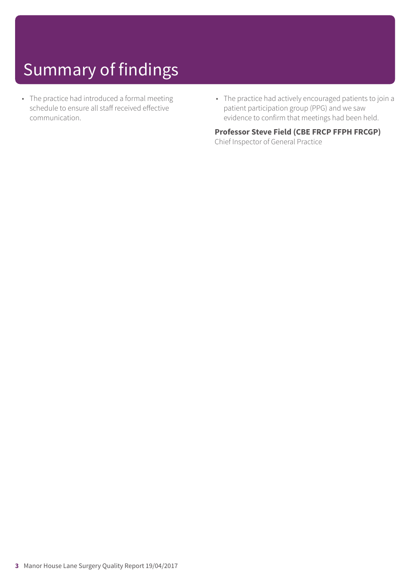# Summary of findings

- The practice had introduced a formal meeting schedule to ensure all staff received effective communication.
- The practice had actively encouraged patients to join a patient participation group (PPG) and we saw evidence to confirm that meetings had been held.

**Professor Steve Field (CBE FRCP FFPH FRCGP)** Chief Inspector of General Practice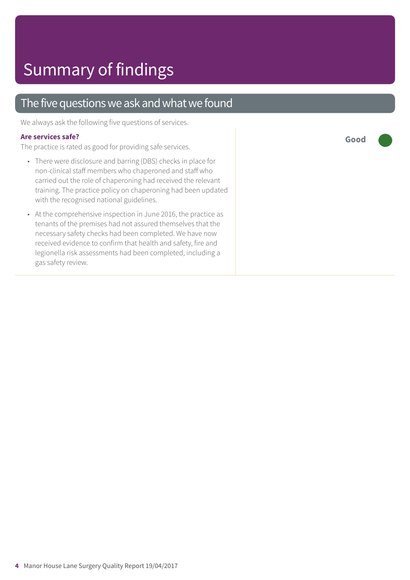### The five questions we ask and what we found

We always ask the following five questions of services.

#### **Are services safe?**

The practice is rated as good for providing safe services.

- There were disclosure and barring (DBS) checks in place for non-clinical staff members who chaperoned and staff who carried out the role of chaperoning had received the relevant training. The practice policy on chaperoning had been updated with the recognised national guidelines.
- At the comprehensive inspection in June 2016, the practice as tenants of the premises had not assured themselves that the necessary safety checks had been completed. We have now received evidence to confirm that health and safety, fire and legionella risk assessments had been completed, including a gas safety review.

**Good –––**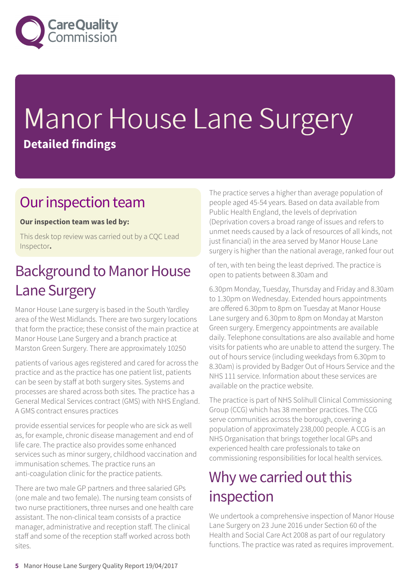

# Manor House Lane Surgery **Detailed findings**

### Our inspection team

#### **Our inspection team was led by:**

This desk top review was carried out by a CQC Lead Inspector**.**

## Background to Manor House Lane Surgery

Manor House Lane surgery is based in the South Yardley area of the West Midlands. There are two surgery locations that form the practice; these consist of the main practice at Manor House Lane Surgery and a branch practice at Marston Green Surgery. There are approximately 10250

patients of various ages registered and cared for across the practice and as the practice has one patient list, patients can be seen by staff at both surgery sites. Systems and processes are shared across both sites. The practice has a General Medical Services contract (GMS) with NHS England. A GMS contract ensures practices

provide essential services for people who are sick as well as, for example, chronic disease management and end of life care. The practice also provides some enhanced services such as minor surgery, childhood vaccination and immunisation schemes. The practice runs an anti-coagulation clinic for the practice patients.

There are two male GP partners and three salaried GPs (one male and two female). The nursing team consists of two nurse practitioners, three nurses and one health care assistant. The non-clinical team consists of a practice manager, administrative and reception staff. The clinical staff and some of the reception staff worked across both sites.

The practice serves a higher than average population of people aged 45-54 years. Based on data available from Public Health England, the levels of deprivation (Deprivation covers a broad range of issues and refers to unmet needs caused by a lack of resources of all kinds, not just financial) in the area served by Manor House Lane surgery is higher than the national average, ranked four out

of ten, with ten being the least deprived. The practice is open to patients between 8.30am and

6.30pm Monday, Tuesday, Thursday and Friday and 8.30am to 1.30pm on Wednesday. Extended hours appointments are offered 6.30pm to 8pm on Tuesday at Manor House Lane surgery and 6.30pm to 8pm on Monday at Marston Green surgery. Emergency appointments are available daily. Telephone consultations are also available and home visits for patients who are unable to attend the surgery. The out of hours service (including weekdays from 6.30pm to 8.30am) is provided by Badger Out of Hours Service and the NHS 111 service. Information about these services are available on the practice website.

The practice is part of NHS Solihull Clinical Commissioning Group (CCG) which has 38 member practices. The CCG serve communities across the borough, covering a population of approximately 238,000 people. A CCG is an NHS Organisation that brings together local GPs and experienced health care professionals to take on commissioning responsibilities for local health services.

## Why we carried out this inspection

We undertook a comprehensive inspection of Manor House Lane Surgery on 23 June 2016 under Section 60 of the Health and Social Care Act 2008 as part of our regulatory functions. The practice was rated as requires improvement.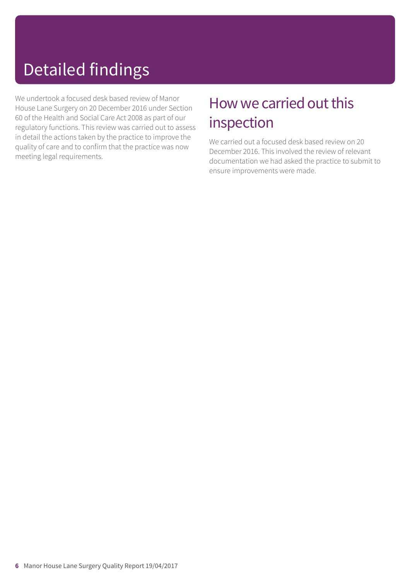# Detailed findings

We undertook a focused desk based review of Manor House Lane Surgery on 20 December 2016 under Section 60 of the Health and Social Care Act 2008 as part of our regulatory functions. This review was carried out to assess in detail the actions taken by the practice to improve the quality of care and to confirm that the practice was now meeting legal requirements.

## How we carried out this inspection

We carried out a focused desk based review on 20 December 2016. This involved the review of relevant documentation we had asked the practice to submit to ensure improvements were made.